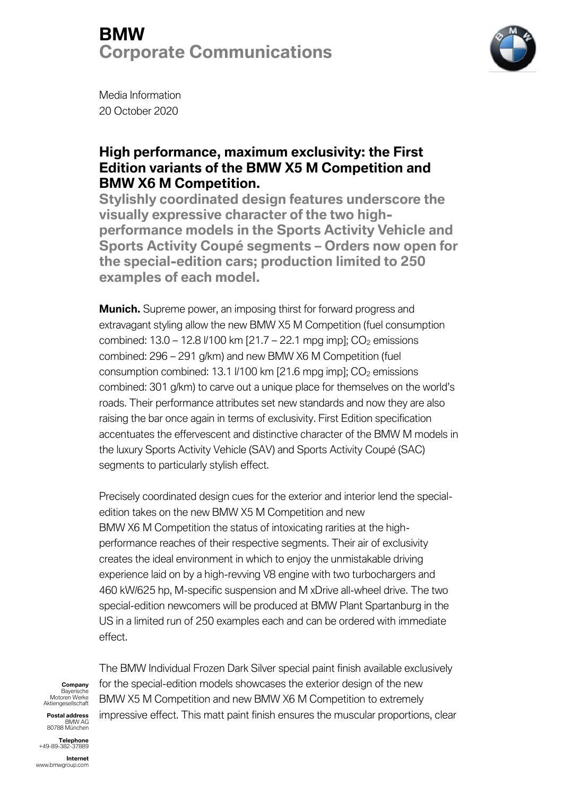

Media Information 20 October 2020

#### **High performance, maximum exclusivity: the First Edition variants of the BMW X5 M Competition and BMW X6 M Competition.**

**Stylishly coordinated design features underscore the visually expressive character of the two highperformance models in the Sports Activity Vehicle and Sports Activity Coupé segments – Orders now open for the special-edition cars; production limited to 250 examples of each model.**

**Munich.** Supreme power, an imposing thirst for forward progress and extravagant styling allow the new BMW X5 M Competition (fuel consumption combined:  $13.0 - 12.8$   $V100$  km  $[21.7 - 22.1$  mpg imp];  $CO<sub>2</sub>$  emissions combined: 296 – 291 g/km) and new BMW X6 M Competition (fuel consumption combined: 13.1  $V$ 100 km [21.6 mpg imp];  $CO<sub>2</sub>$  emissions combined: 301 g/km) to carve out a unique place for themselves on the world's roads. Their performance attributes set new standards and now they are also raising the bar once again in terms of exclusivity. First Edition specification accentuates the effervescent and distinctive character of the BMW M models in the luxury Sports Activity Vehicle (SAV) and Sports Activity Coupé (SAC) segments to particularly stylish effect.

Precisely coordinated design cues for the exterior and interior lend the specialedition takes on the new BMW X5 M Competition and new BMW X6 M Competition the status of intoxicating rarities at the highperformance reaches of their respective segments. Their air of exclusivity creates the ideal environment in which to enjoy the unmistakable driving experience laid on by a high-revving V8 engine with two turbochargers and 460 kW/625 hp, M-specific suspension and M xDrive all-wheel drive. The two special-edition newcomers will be produced at BMW Plant Spartanburg in the US in a limited run of 250 examples each and can be ordered with immediate effect.

### **Company**

Bayerische Motoren Werke Aktiengesellschaft **Postal address**

BMW AG 80788 München

**Telephone** +49-89-382-37889

**Internet** www.bmwgroup.com

The BMW Individual Frozen Dark Silver special paint finish available exclusively for the special-edition models showcases the exterior design of the new BMW X5 M Competition and new BMW X6 M Competition to extremely impressive effect. This matt paint finish ensures the muscular proportions, clear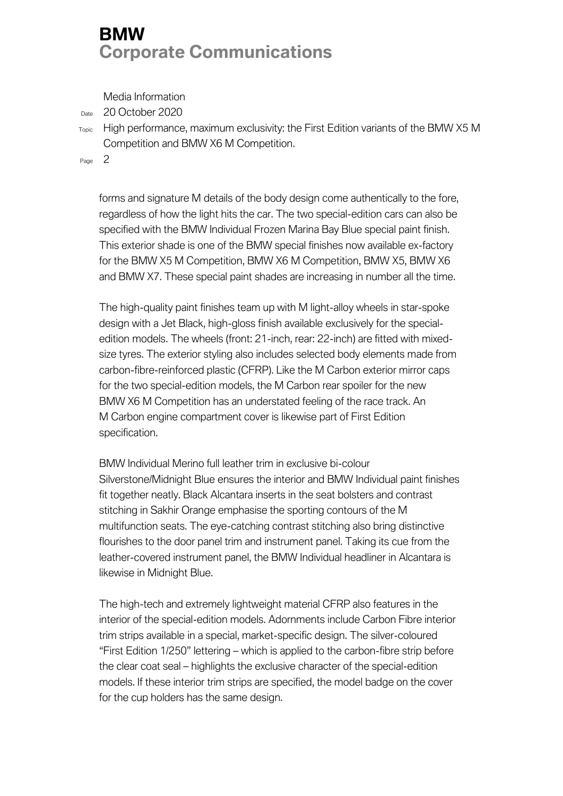Media Information

Date 20 October 2020

Topic High performance, maximum exclusivity: the First Edition variants of the BMW X5 M Competition and BMW X6 M Competition.

Page 2

forms and signature M details of the body design come authentically to the fore, regardless of how the light hits the car. The two special-edition cars can also be specified with the BMW Individual Frozen Marina Bay Blue special paint finish. This exterior shade is one of the BMW special finishes now available ex-factory for the BMW X5 M Competition, BMW X6 M Competition, BMW X5, BMW X6 and BMW X7. These special paint shades are increasing in number all the time.

The high-quality paint finishes team up with M light-alloy wheels in star-spoke design with a Jet Black, high-gloss finish available exclusively for the specialedition models. The wheels (front: 21-inch, rear: 22-inch) are fitted with mixedsize tyres. The exterior styling also includes selected body elements made from carbon-fibre-reinforced plastic (CFRP). Like the M Carbon exterior mirror caps for the two special-edition models, the M Carbon rear spoiler for the new BMW X6 M Competition has an understated feeling of the race track. An M Carbon engine compartment cover is likewise part of First Edition specification.

BMW Individual Merino full leather trim in exclusive bi-colour Silverstone/Midnight Blue ensures the interior and BMW Individual paint finishes fit together neatly. Black Alcantara inserts in the seat bolsters and contrast stitching in Sakhir Orange emphasise the sporting contours of the M multifunction seats. The eye-catching contrast stitching also bring distinctive flourishes to the door panel trim and instrument panel. Taking its cue from the leather-covered instrument panel, the BMW Individual headliner in Alcantara is likewise in Midnight Blue.

The high-tech and extremely lightweight material CFRP also features in the interior of the special-edition models. Adornments include Carbon Fibre interior trim strips available in a special, market-specific design. The silver-coloured "First Edition 1/250" lettering – which is applied to the carbon-fibre strip before the clear coat seal – highlights the exclusive character of the special-edition models. If these interior trim strips are specified, the model badge on the cover for the cup holders has the same design.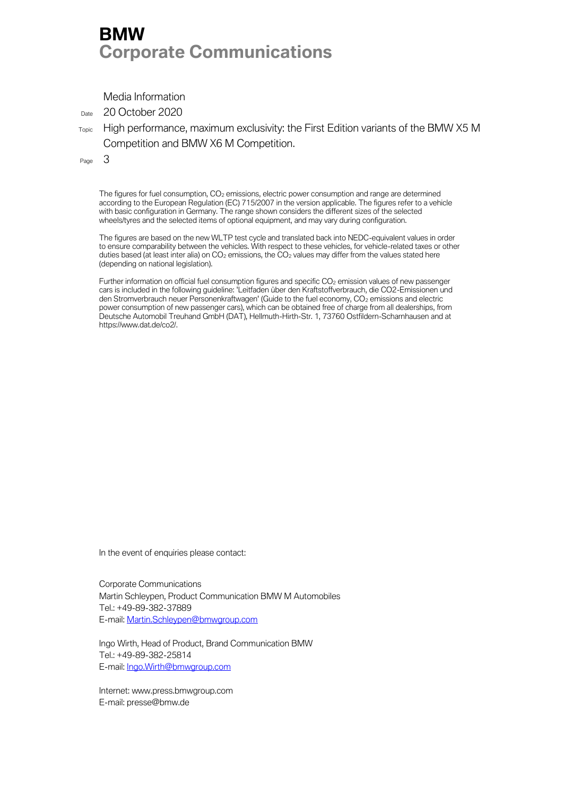Media Information

Date 20 October 2020

Topic High performance, maximum exclusivity: the First Edition variants of the BMW X5 M Competition and BMW X6 M Competition.

Page 3

The figures for fuel consumption, CO<sub>2</sub> emissions, electric power consumption and range are determined according to the European Regulation (EC) 715/2007 in the version applicable. The figures refer to a vehicle with basic configuration in Germany. The range shown considers the different sizes of the selected wheels/tyres and the selected items of optional equipment, and may vary during configuration.

The figures are based on the new WLTP test cycle and translated back into NEDC-equivalent values in order to ensure comparability between the vehicles. With respect to these vehicles, for vehicle-related taxes or other duties based (at least inter alia) on  $CO<sub>2</sub>$  emissions, the  $CO<sub>2</sub>$  values may differ from the values stated here (depending on national legislation).

Further information on official fuel consumption figures and specific CO<sub>2</sub> emission values of new passenger cars is included in the following guideline: 'Leitfaden über den Kraftstoffverbrauch, die CO2-Emissionen und den Stromverbrauch neuer Personenkraftwagen' (Guide to the fuel economy, CO<sub>2</sub> emissions and electric power consumption of new passenger cars), which can be obtained free of charge from all dealerships, from Deutsche Automobil Treuhand GmbH (DAT), Hellmuth-Hirth-Str. 1, 73760 Ostfildern-Scharnhausen and at https://www.dat.de/co2/.

In the event of enquiries please contact:

Corporate Communications Martin Schleypen, Product Communication BMW M Automobiles Tel.: +49-89-382-37889 E-mail[: Martin.Schleypen@bmwgroup.com](mailto:Martin.Schleypen@bmwgroup.com)

Ingo Wirth, Head of Product, Brand Communication BMW Tel.: +49-89-382-25814 E-mail[: Ingo.Wirth@bmwgroup.com](mailto:Ingo.Wirth@bmwgroup.com)

Internet: www.press.bmwgroup.com E-mail: presse@bmw.de